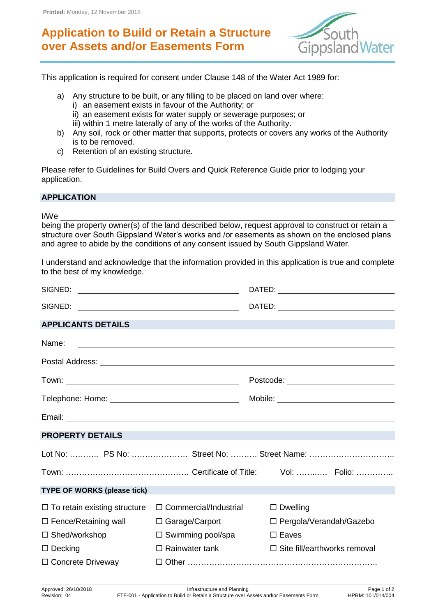## **Application to Build or Retain a Structure over Assets and/or Easements Form**



This application is required for consent under Clause 148 of the Water Act 1989 for:

- a) Any structure to be built, or any filling to be placed on land over where:
	- i) an easement exists in favour of the Authority; or
	- ii) an easement exists for water supply or sewerage purposes; or
	- iii) within 1 metre laterally of any of the works of the Authority.
- b) Any soil, rock or other matter that supports, protects or covers any works of the Authority is to be removed.
- c) Retention of an existing structure.

Please refer to Guidelines for Build Overs and Quick Reference Guide prior to lodging your application.

## **APPLICATION**

I/We

being the property owner(s) of the land described below, request approval to construct or retain a structure over South Gippsland Water's works and /or easements as shown on the enclosed plans and agree to abide by the conditions of any consent issued by South Gippsland Water.

I understand and acknowledge that the information provided in this application is true and complete to the best of my knowledge.

| SIGNED:                             |                                                                                                                      |                                                                                                                                                                                                                                   |  |
|-------------------------------------|----------------------------------------------------------------------------------------------------------------------|-----------------------------------------------------------------------------------------------------------------------------------------------------------------------------------------------------------------------------------|--|
| <b>APPLICANTS DETAILS</b>           |                                                                                                                      | a de la construcción de la construcción de la construcción de la construcción de la construcción de la construcción<br>En la construcción de la construcción de la construcción de la construcción de la construcción de la const |  |
| Name:                               | <u> 1989 - Johann Barbara, marka a shekara tsara 1980 - An tsara 1980 - An tsara 1980 - An tsara 1980 - An tsara</u> |                                                                                                                                                                                                                                   |  |
|                                     |                                                                                                                      | Postal Address: Note and Separate and Separate and Separate and Separate and Separate and Separate and Separate and Separate and Separate and Separate and Separate and Separate and Separate and Separate and Separate and Se    |  |
|                                     |                                                                                                                      |                                                                                                                                                                                                                                   |  |
|                                     |                                                                                                                      |                                                                                                                                                                                                                                   |  |
|                                     |                                                                                                                      |                                                                                                                                                                                                                                   |  |
| <b>PROPERTY DETAILS</b>             | <u> 1989 - Andrea Santa Andrea Santa Andrea Santa Andrea Santa Andrea Santa Andrea Santa Andrea Santa Andrea San</u> |                                                                                                                                                                                                                                   |  |
|                                     |                                                                                                                      | Lot No:  PS No:  Street No:  Street Name:                                                                                                                                                                                         |  |
|                                     |                                                                                                                      |                                                                                                                                                                                                                                   |  |
| <b>TYPE OF WORKS (please tick)</b>  |                                                                                                                      |                                                                                                                                                                                                                                   |  |
| $\Box$ To retain existing structure | $\Box$ Commercial/Industrial                                                                                         | $\square$ Dwelling                                                                                                                                                                                                                |  |
| $\Box$ Fence/Retaining wall         | $\Box$ Garage/Carport                                                                                                | $\Box$ Pergola/Verandah/Gazebo                                                                                                                                                                                                    |  |
| $\Box$ Shed/workshop                | $\Box$ Swimming pool/spa                                                                                             | $\square$ Eaves                                                                                                                                                                                                                   |  |
| $\Box$ Decking                      | $\Box$ Rainwater tank                                                                                                | $\Box$ Site fill/earthworks removal                                                                                                                                                                                               |  |
| $\Box$ Concrete Driveway            |                                                                                                                      |                                                                                                                                                                                                                                   |  |